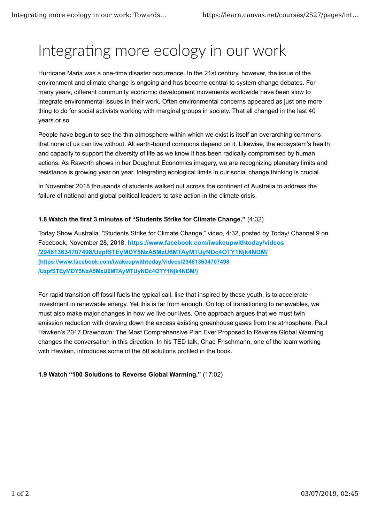## Integrating more ecology in our work

Hurricane Maria was a one-time disaster occurrence. In the 21st century, however, the issue of the environment and climate change is ongoing and has become central to system change debates. For many years, different community economic development movements worldwide have been slow to integrate environmental issues in their work. Often environmental concerns appeared as just one more thing to do for social activists working with marginal groups in society. That all changed in the last 40 years or so.

People have begun to see the thin atmosphere within which we exist is itself an overarching commons that none of us can live without. All earth-bound commons depend on it. Likewise, the ecosystem's health and capacity to support the diversity of life as we know it has been radically compromised by human actions. As Raworth shows in her Doughnut Economics imagery, we are recognizing planetary limits and resistance is growing year on year. Integrating ecological limits in our social change thinking is crucial.

In November 2018 thousands of students walked out across the continent of Australia to address the failure of national and global political leaders to take action in the climate crisis.

## **1.8 Watch the first 3 minutes of "Students Strike for Climate Change."** (4:32)

Today Show Australia. "Students Strike for Climate Change," video, 4:32, posted by Today/ Channel 9 on Facebook, November 28, 2018, **https://www.facebook.com/iwakeupwithtoday/videos /294813634707498/UzpfSTEyMDY5NzA5MzU6MTAyMTUyNDc4OTY1Njk4NDM/ (https://www.facebook.com/iwakeupwithtoday/videos/294813634707498 /UzpfSTEyMDY5NzA5MzU6MTAyMTUyNDc4OTY1Njk4NDM/)**

For rapid transition off fossil fuels the typical call, like that inspired by these youth, is to accelerate investment in renewable energy. Yet this is far from enough. On top of transitioning to renewables, we must also make major changes in how we live our lives. One approach argues that we must twin emission reduction with drawing down the excess existing greenhouse gases from the atmosphere. Paul Hawken's 2017 Drawdown: The Most Comprehensive Plan Ever Proposed to Reverse Global Warming changes the conversation in this direction. In his TED talk, Chad Frischmann, one of the team working with Hawken, introduces some of the 80 solutions profiled in the book.

## **1.9 Watch "100 Solutions to Reverse Global Warming."** (17:02)